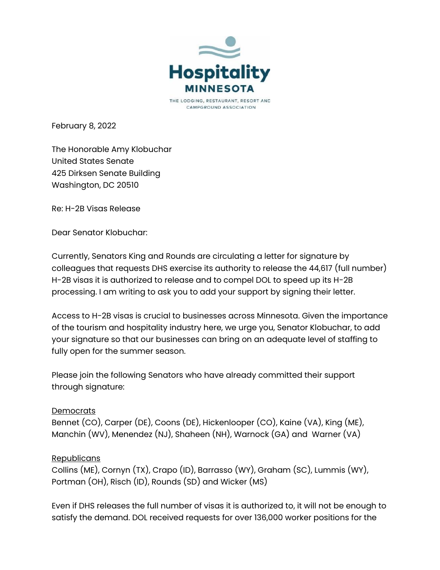

CAMPGROUND ASSOCIATION

February 8, 2022

The Honorable Amy Klobuchar United States Senate 425 Dirksen Senate Building Washington, DC 20510

Re: H-2B Visas Release

Dear Senator Klobuchar:

Currently, Senators King and Rounds are circulating a letter for signature by colleagues that requests DHS exercise its authority to release the 44,617 (full number) H-2B visas it is authorized to release and to compel DOL to speed up its H-2B processing. I am writing to ask you to add your support by signing their letter.

Access to H-2B visas is crucial to businesses across Minnesota. Given the importance of the tourism and hospitality industry here, we urge you, Senator Klobuchar, to add your signature so that our businesses can bring on an adequate level of staffing to fully open for the summer season.

Please join the following Senators who have already committed their support through signature:

## **Democrats**

Bennet (CO), Carper (DE), Coons (DE), Hickenlooper (CO), Kaine (VA), King (ME), Manchin (WV), Menendez (NJ), Shaheen (NH), Warnock (GA) and Warner (VA)

## **Republicans**

Collins (ME), Cornyn (TX), Crapo (ID), Barrasso (WY), Graham (SC), Lummis (WY), Portman (OH), Risch (ID), Rounds (SD) and Wicker (MS)

Even if DHS releases the full number of visas it is authorized to, it will not be enough to satisfy the demand. DOL received requests for over 136,000 worker positions for the